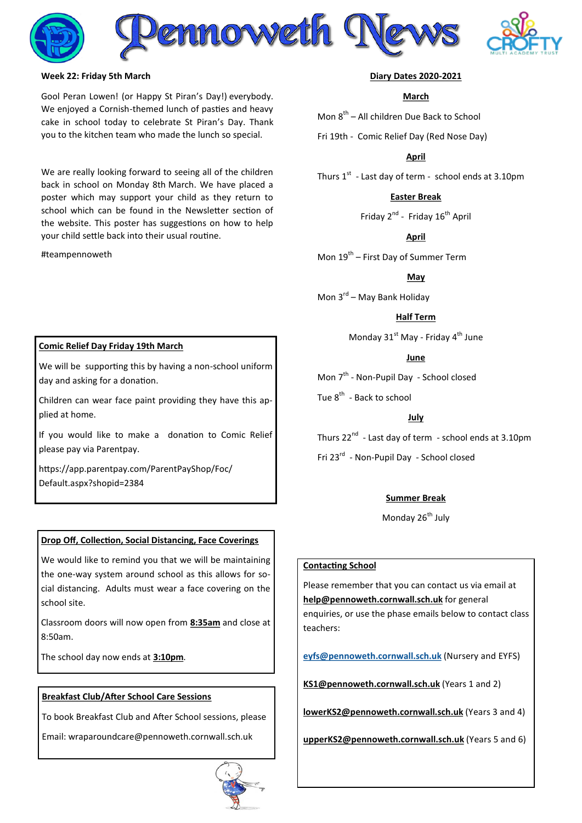

### **Week 22: Friday 5th March**

Gool Peran Lowen! (or Happy St Piran's Day!) everybody. We enjoyed a Cornish-themed lunch of pasties and heavy cake in school today to celebrate St Piran's Day. Thank you to the kitchen team who made the lunch so special.

We are really looking forward to seeing all of the children back in school on Monday 8th March. We have placed a poster which may support your child as they return to school which can be found in the Newsletter section of the website. This poster has suggestions on how to help your child settle back into their usual routine.

#teampennoweth

### **Diary Dates 2020-2021**

### **March**

Mon 8<sup>th</sup> – All children Due Back to School

Fri 19th - Comic Relief Day (Red Nose Day)

**April**

Thurs  $1<sup>st</sup>$  - Last day of term - school ends at 3.10pm

# **Easter Break**

Friday 2<sup>nd</sup> - Friday 16<sup>th</sup> April

#### **April**

Mon 19<sup>th</sup> – First Day of Summer Term

**May**

Mon 3<sup>rd</sup> – May Bank Holiday

### **Half Term**

Monday  $31^{st}$  May - Friday  $4^{th}$  June

### **June**

Mon 7<sup>th</sup> - Non-Pupil Day - School closed

Tue 8<sup>th</sup> - Back to school

# **July**

Thurs 22 $^{\text{nd}}$  - Last day of term - school ends at 3.10pm Fri 23<sup>rd</sup> - Non-Pupil Day - School closed

### **Summer Break**

Monday 26<sup>th</sup> July

### **Contacting School**

Please remember that you can contact us via email at **[help@pennoweth.cornwall.sch.uk](mailto:help@pennoweth.cornwall.sch.uk)** for general enquiries, or use the phase emails below to contact class teachers[:](mailto:ey%20fs@pennoweth.cornwall.sch.uk)

**[eyfs@pennoweth.cornwall.sch.uk](mailto:ey%20fs@pennoweth.cornwall.sch.uk)** (Nursery and EYFS)

**[KS1@pennoweth.cornwall.sch.uk](mailto:KS1@pennoweth.cornwall.sch.uk)** (Years 1 and 2)

**[lowerKS2@pennoweth.cornwall.sch.uk](mailto:lowerKS2@pennoweth.cornwall.sch.uk)** (Years 3 and 4)

**[upperKS2@pennoweth.cornwall.sch.uk](mailto:upperKS2@pennoweth.cornwall.sch.uk)** (Years 5 and 6)

### **Comic Relief Day Friday 19th March**

We will be supporting this by having a non-school uniform day and asking for a donation.

Children can wear face paint providing they have this applied at home.

If you would like to make a donation to Comic Relief please pay via Parentpay.

https://app.parentpay.com/ParentPayShop/Foc/ Default.aspx?shopid=2384

# **Drop Off, Collection, Social Distancing, Face Coverings**

We would like to remind you that we will be maintaining the one-way system around school as this allows for social distancing. Adults must wear a face covering on the school site.

Classroom doors will now open from **8:35am** and close at 8:50am.

The school day now ends at **3:10pm**.

### **Breakfast Club/After School Care Sessions**

To book Breakfast Club and After School sessions, please

Email: wraparoundcare@pennoweth.cornwall.sch.uk

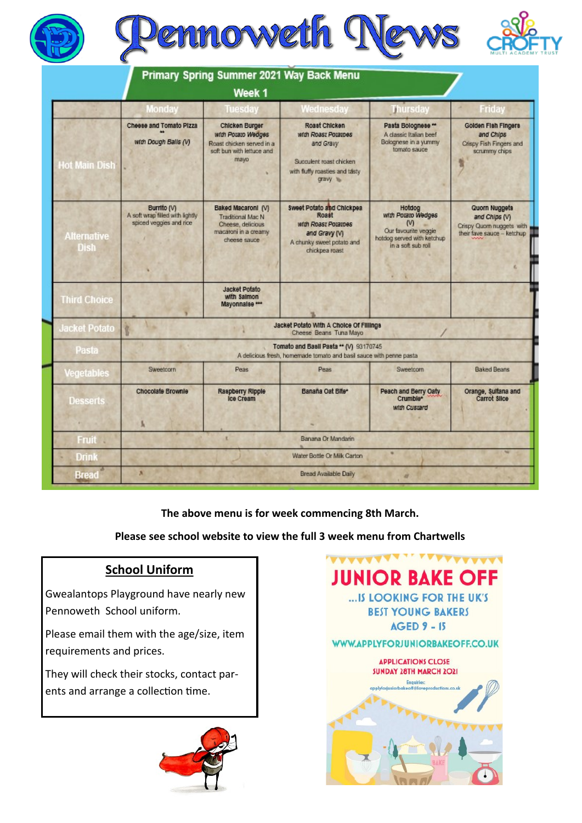





|                                   |                                                                                                                | Week 1                                                                                                 | Primary Spring Summer 2021 Way Back Menu                                                                                         |                                                                                                             |                                                                                                  |
|-----------------------------------|----------------------------------------------------------------------------------------------------------------|--------------------------------------------------------------------------------------------------------|----------------------------------------------------------------------------------------------------------------------------------|-------------------------------------------------------------------------------------------------------------|--------------------------------------------------------------------------------------------------|
|                                   | <b>Monday</b>                                                                                                  | Tuesday                                                                                                | Wednesday                                                                                                                        | <b>Thursday</b>                                                                                             | Friday                                                                                           |
| <b>Hot Main Dish</b>              | Cheese and Tomato Pizza<br>with Dough Balls (V)                                                                | Chicken Burger<br>with Potato Wedges<br>Roast chicken served in a<br>soft bun with lettuce and<br>mayo | Roast Chicken<br>with Roast Potatoes<br>and Gravy<br>Succulent roast chicken<br>with fluffy roasties and tasty<br>gravy to       | Pasta Bolognese **<br>A classic Italian beef<br>Bolognese in a yummy<br>tomato sauce                        | Golden Fish Fingers<br>and Chips<br>Crispy Fish Fingers and<br>scrummy chips                     |
| <b>Alternative</b><br><b>Dish</b> | Burrito (V)<br>A soft wrap filled with lightly<br>spiced veggies and rice                                      | Baked Macaroni (V)<br>Traditional Mac N<br>Cheese, delicious<br>macaroni in a creamy<br>cheese sauce   | <b>Sweet Potato and Chickpea</b><br>Roset<br>with Roast Potatoes<br>and Gravy (V)<br>A chunky sweet potato and<br>chickpea roast | Hotdog<br>with Potato Wedges<br>M<br>Our favourite veggie<br>hatdog served with ketchup<br>lion due floa si | <b>Quorn Nuggets</b><br>and Chips (V)<br>Crispy Quorn nuggets with<br>their fave sauce - ketchup |
| <b>Third Choice</b>               |                                                                                                                | <b>Jacket Potato</b><br>with Salmon<br>Mayonnalse ***                                                  |                                                                                                                                  |                                                                                                             |                                                                                                  |
| <b>Jacket Potato</b>              | Jacket Potato With A Choice Of Fillings<br>Ŷ.<br>Cheese Beans Tuna Mayo                                        |                                                                                                        |                                                                                                                                  |                                                                                                             |                                                                                                  |
| Pasta                             | Tomato and Basil Pasta ** (V) 93170745<br>A delicious fresh, homemade tomato and basil sauce with penne pastal |                                                                                                        |                                                                                                                                  |                                                                                                             |                                                                                                  |
| Vegetables                        | Sweetcorn                                                                                                      | Peas                                                                                                   | <b>Peas</b>                                                                                                                      | Sweetcorn                                                                                                   | <b>Baked Beans</b>                                                                               |
| Desserts                          | <b>Chocolate Brownle</b><br>s.                                                                                 | Raspberry Ripple<br><b>Ice Cream</b>                                                                   | Banana Oat Bite*                                                                                                                 | Peach and Berry Oaty<br>Crumble*<br>with Custard                                                            | Orange, Sultana and<br>Carrot Silce                                                              |
| Fruit :                           |                                                                                                                | ×                                                                                                      | Banana Or Mandarin                                                                                                               |                                                                                                             |                                                                                                  |
| <b>Drink</b>                      | Water Bottle Or Milk Carton                                                                                    |                                                                                                        |                                                                                                                                  |                                                                                                             |                                                                                                  |
| Bread                             | ×                                                                                                              |                                                                                                        | Bread Available Daily                                                                                                            | ø                                                                                                           |                                                                                                  |

**The above menu is for week commencing 8th March.** 

**Please see school website to view the full 3 week menu from Chartwells**

# **School Uniform**

Gwealantops Playground have nearly new Pennoweth School uniform.

Please email them with the age/size, item requirements and prices.

They will check their stocks, contact parents and arrange a collection time.